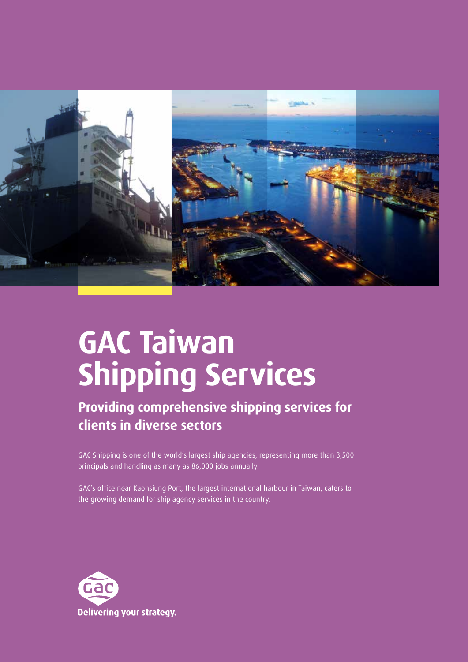

# **GAC Taiwan Shipping Services**

## **Providing comprehensive shipping services for clients in diverse sectors**

GAC Shipping is one of the world's largest ship agencies, representing more than 3,500 principals and handling as many as 86,000 jobs annually.

GAC's office near Kaohsiung Port, the largest international harbour in Taiwan, caters to the growing demand for ship agency services in the country.

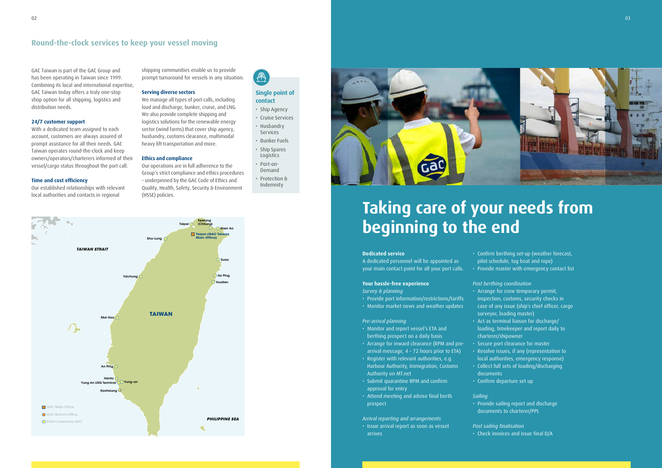GAC Taiwan is part of the GAC Group and has been operating in Taiwan since 1999. Combining its local and international expertise, GAC Taiwan today offers a truly one-stop shop option for all shipping, logistics and distribution needs.

#### **24/7 customer support**

Our established relationships with relevant local authorities and contacts in regional

With a dedicated team assigned to each account, customers are always assured of prompt assistance for all their needs. GAC Taiwan operates round-the-clock and keep owners/operators/charterers informed of their vessel/cargo status throughout the port call.

#### **Time and cost efficiency**

shipping communities enable us to provide prompt turnaround for vessels in any situation.

#### **Serving diverse sectors**

We manage all types of port calls, including load and discharge, bunker, cruise, and LNG. We also provide complete shipping and logistics solutions for the renewable energy sector (wind farms) that cover ship agency, husbandry, customs clearance, multimodal heavy lift transportation and more.

#### **Ethics and compliance**

Our operations are in full adherence to the Group's strict compliance and ethics procedures – underpinned by the GAC Code of Ethics and Quality, Health, Safety, Security & Environment (HSSE) policies.



- Ship Agency
- Cruise Services
- Husbandry Services
- Bunker Fuels
- Ship Spares
- Logistics • Port-on-
- Demand • Protection &
- Indemnity



### **Single point of contact**

# **Taking care of your needs from beginning to the end**

#### **Dedicated service**

A dedicated personnel will be appointed as your main contact point for all your port calls.

### **Your hassle-free experience**

- *Survey & planning*
- Provide port information/restrictions/tariffs
- Monitor market news and weather updates

#### *Pre-arrival planning*

- Monitor and report vessel's ETA and berthing prospect on a daily basis
- Arrange for inward clearance (RPM and prearrival message, 4 – 72 hours prior to ETA)
- Register with relevant authorities, e.g. Harbour Authority, Immigration, Customs Authority on MT.net
- Submit quarantine RPM and confirm approval for entry
- Attend meeting and advise final berth prospect

#### *Arrival reporting and arrangements*

• Issue arrival report as soon as vessel arrives

• Confirm berthing set-up (weather forecast, pilot schedule, tug boat and rope) • Provide master with emergency contact list

*Post berthing coordination*

- Arrange for crew temporary permit,
- Secure port clearance for master
	-
- inspection, customs, security checks in case of any issue (ship's chief officer, cargo surveyor, loading master)
- Act as terminal liaison for discharge/ loading, timekeeper and report daily to charterer/shipowner
- Resolve issues, if any (representation to
- local authorities, emergency response) • Collect full sets of loading/discharging documents
- Confirm departure set up

- *Sailing*
- 

• Provide sailing report and discharge documents to charterer/PPL

### Post sailing finalisation

• Check invoices and issue final D/A